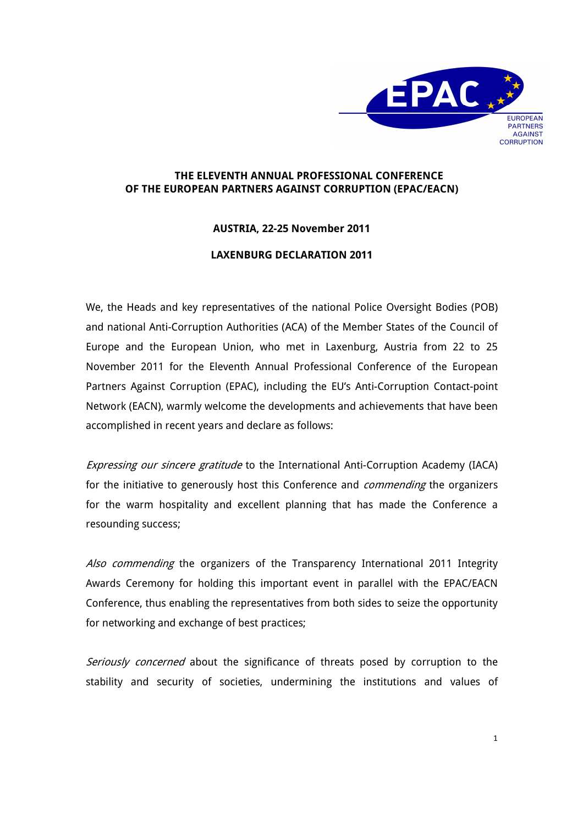

## **THE ELEVENTH ANNUAL PROFESSIONAL CONFERENCE OF THE EUROPEAN PARTNERS AGAINST CORRUPTION (EPAC/EACN)**

## **AUSTRIA, 22-25 November 2011**

## **LAXENBURG DECLARATION 2011**

We, the Heads and key representatives of the national Police Oversight Bodies (POB) and national Anti-Corruption Authorities (ACA) of the Member States of the Council of Europe and the European Union, who met in Laxenburg, Austria from 22 to 25 November 2011 for the Eleventh Annual Professional Conference of the European Partners Against Corruption (EPAC), including the EU's Anti-Corruption Contact-point Network (EACN), warmly welcome the developments and achievements that have been accomplished in recent years and declare as follows:

Expressing our sincere gratitude to the International Anti-Corruption Academy (IACA) for the initiative to generously host this Conference and *commending* the organizers for the warm hospitality and excellent planning that has made the Conference a resounding success;

Also commending the organizers of the Transparency International 2011 Integrity Awards Ceremony for holding this important event in parallel with the EPAC/EACN Conference, thus enabling the representatives from both sides to seize the opportunity for networking and exchange of best practices;

Seriously concerned about the significance of threats posed by corruption to the stability and security of societies, undermining the institutions and values of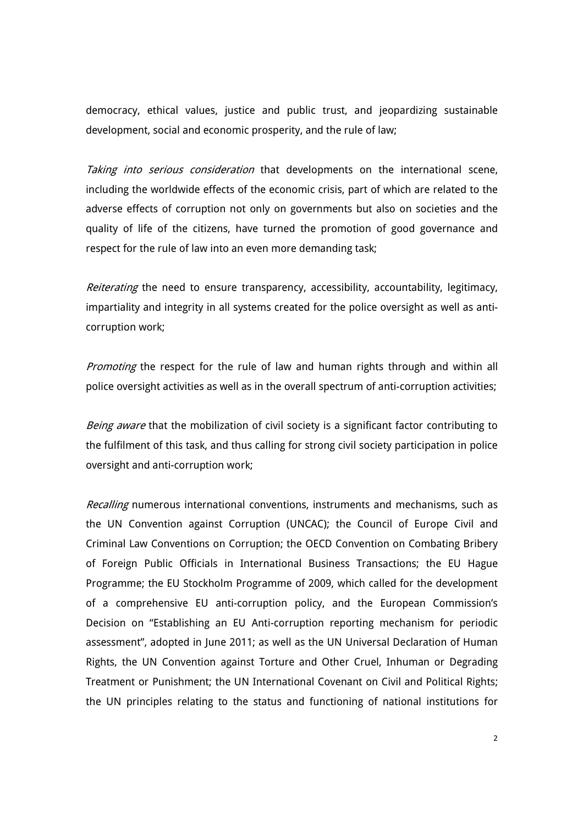democracy, ethical values, justice and public trust, and jeopardizing sustainable development, social and economic prosperity, and the rule of law;

Taking into serious consideration that developments on the international scene, including the worldwide effects of the economic crisis, part of which are related to the adverse effects of corruption not only on governments but also on societies and the quality of life of the citizens, have turned the promotion of good governance and respect for the rule of law into an even more demanding task;

Reiterating the need to ensure transparency, accessibility, accountability, legitimacy, impartiality and integrity in all systems created for the police oversight as well as anticorruption work;

Promoting the respect for the rule of law and human rights through and within all police oversight activities as well as in the overall spectrum of anti-corruption activities;

Being aware that the mobilization of civil society is a significant factor contributing to the fulfilment of this task, and thus calling for strong civil society participation in police oversight and anti-corruption work;

Recalling numerous international conventions, instruments and mechanisms, such as the UN Convention against Corruption (UNCAC); the Council of Europe Civil and Criminal Law Conventions on Corruption; the OECD Convention on Combating Bribery of Foreign Public Officials in International Business Transactions; the EU Hague Programme; the EU Stockholm Programme of 2009, which called for the development of a comprehensive EU anti-corruption policy, and the European Commission's Decision on "Establishing an EU Anti-corruption reporting mechanism for periodic assessment", adopted in June 2011; as well as the UN Universal Declaration of Human Rights, the UN Convention against Torture and Other Cruel, Inhuman or Degrading Treatment or Punishment; the UN International Covenant on Civil and Political Rights; the UN principles relating to the status and functioning of national institutions for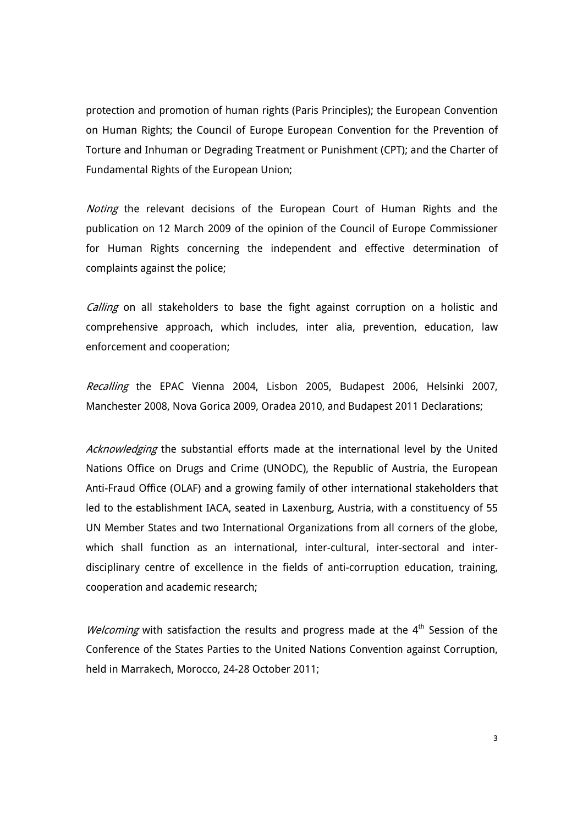protection and promotion of human rights (Paris Principles); the European Convention on Human Rights; the Council of Europe European Convention for the Prevention of Torture and Inhuman or Degrading Treatment or Punishment (CPT); and the Charter of Fundamental Rights of the European Union;

Noting the relevant decisions of the European Court of Human Rights and the publication on 12 March 2009 of the opinion of the Council of Europe Commissioner for Human Rights concerning the independent and effective determination of complaints against the police;

Calling on all stakeholders to base the fight against corruption on a holistic and comprehensive approach, which includes, inter alia, prevention, education, law enforcement and cooperation;

Recalling the EPAC Vienna 2004, Lisbon 2005, Budapest 2006, Helsinki 2007, Manchester 2008, Nova Gorica 2009, Oradea 2010, and Budapest 2011 Declarations;

Acknowledging the substantial efforts made at the international level by the United Nations Office on Drugs and Crime (UNODC), the Republic of Austria, the European Anti-Fraud Office (OLAF) and a growing family of other international stakeholders that led to the establishment IACA, seated in Laxenburg, Austria, with a constituency of 55 UN Member States and two International Organizations from all corners of the globe, which shall function as an international, inter-cultural, inter-sectoral and interdisciplinary centre of excellence in the fields of anti-corruption education, training, cooperation and academic research;

Welcoming with satisfaction the results and progress made at the 4<sup>th</sup> Session of the Conference of the States Parties to the United Nations Convention against Corruption, held in Marrakech, Morocco, 24-28 October 2011;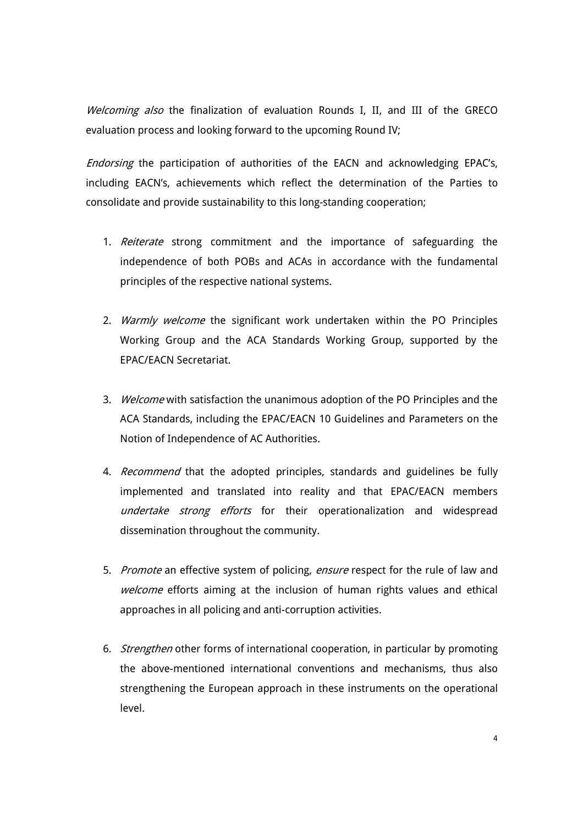Welcoming also the finalization of evaluation Rounds I, II, and III of the GRECO evaluation process and looking forward to the upcoming Round IV;

Endorsing the participation of authorities of the EACN and acknowledging EPAC's, including EACN's, achievements which reflect the determination of the Parties to consolidate and provide sustainability to this long-standing cooperation;

- 1. Reiterate strong commitment and the importance of safeguarding the independence of both POBs and ACAs in accordance with the fundamental principles of the respective national systems.
- 2. Warmly welcome the significant work undertaken within the PO Principles Working Group and the ACA Standards Working Group, supported by the EPAC/EACN Secretariat.
- 3. Welcome with satisfaction the unanimous adoption of the PO Principles and the ACA Standards, including the EPAC/EACN 10 Guidelines and Parameters on the Notion of Independence of AC Authorities.
- 4. Recommend that the adopted principles, standards and guidelines be fully implemented and translated into reality and that EPAC/EACN members undertake strong efforts for their operationalization and widespread dissemination throughout the community.
- 5. Promote an effective system of policing, ensure respect for the rule of law and welcome efforts aiming at the inclusion of human rights values and ethical approaches in all policing and anti-corruption activities.
- 6. Strengthen other forms of international cooperation, in particular by promoting the above-mentioned international conventions and mechanisms, thus also strengthening the European approach in these instruments on the operational level.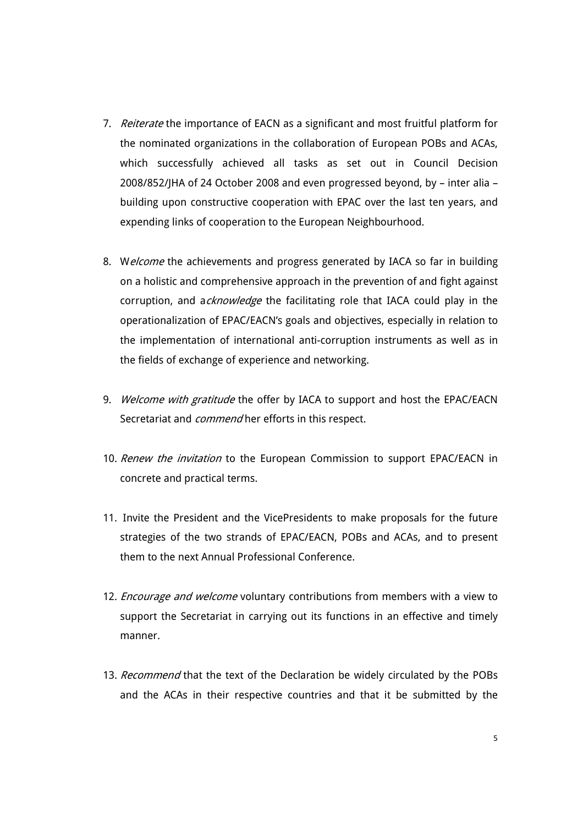- 7. Reiterate the importance of EACN as a significant and most fruitful platform for the nominated organizations in the collaboration of European POBs and ACAs, which successfully achieved all tasks as set out in Council Decision 2008/852/JHA of 24 October 2008 and even progressed beyond, by – inter alia – building upon constructive cooperation with EPAC over the last ten years, and expending links of cooperation to the European Neighbourhood.
- 8. Welcome the achievements and progress generated by IACA so far in building on a holistic and comprehensive approach in the prevention of and fight against corruption, and acknowledge the facilitating role that IACA could play in the operationalization of EPAC/EACN's goals and objectives, especially in relation to the implementation of international anti-corruption instruments as well as in the fields of exchange of experience and networking.
- 9. Welcome with gratitude the offer by IACA to support and host the EPAC/EACN Secretariat and *commend* her efforts in this respect.
- 10. Renew the invitation to the European Commission to support EPAC/EACN in concrete and practical terms.
- 11. Invite the President and the VicePresidents to make proposals for the future strategies of the two strands of EPAC/EACN, POBs and ACAs, and to present them to the next Annual Professional Conference.
- 12. *Encourage and welcome* voluntary contributions from members with a view to support the Secretariat in carrying out its functions in an effective and timely manner.
- 13. Recommend that the text of the Declaration be widely circulated by the POBs and the ACAs in their respective countries and that it be submitted by the